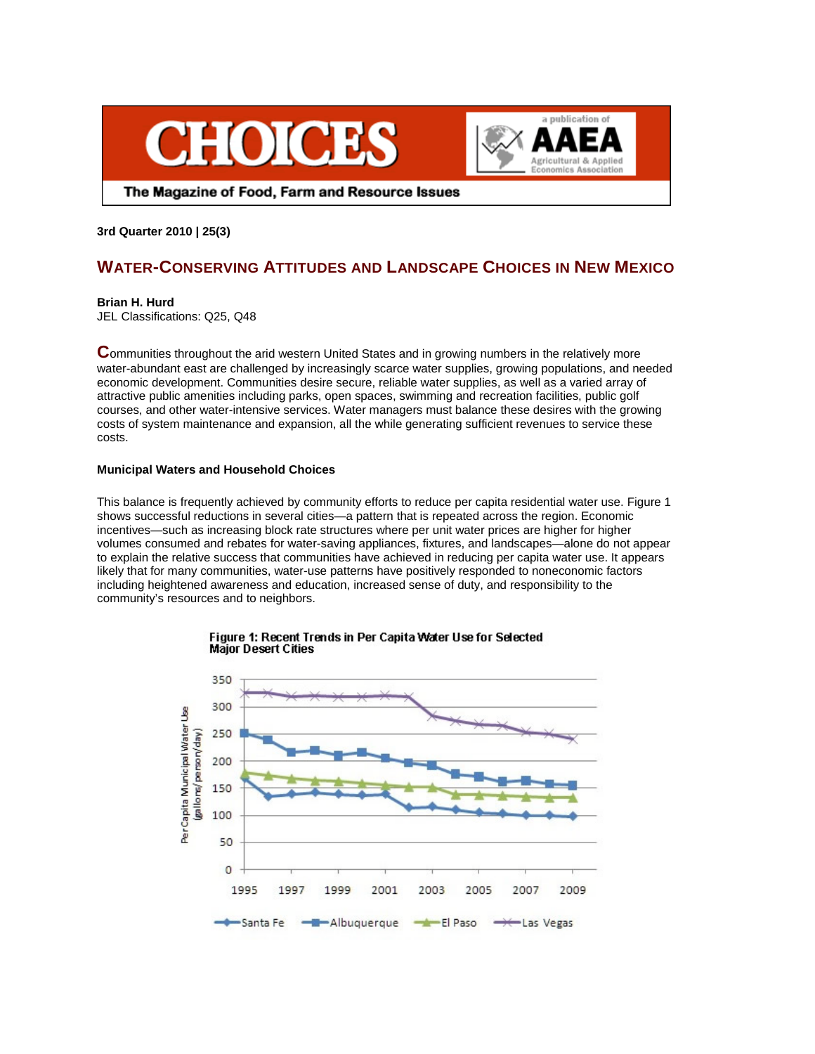



The Magazine of Food, Farm and Resource Issues

## **3rd Quarter 2010 | 25(3)**

# **WATER-CONSERVING ATTITUDES AND LANDSCAPE CHOICES IN NEW MEXICO**

## **Brian H. Hurd**

JEL Classifications: Q25, Q48

**C**ommunities throughout the arid western United States and in growing numbers in the relatively more water-abundant east are challenged by increasingly scarce water supplies, growing populations, and needed economic development. Communities desire secure, reliable water supplies, as well as a varied array of attractive public amenities including parks, open spaces, swimming and recreation facilities, public golf courses, and other water-intensive services. Water managers must balance these desires with the growing costs of system maintenance and expansion, all the while generating sufficient revenues to service these costs.

## **Municipal Waters and Household Choices**

This balance is frequently achieved by community efforts to reduce per capita residential water use. Figure 1 shows successful reductions in several cities—a pattern that is repeated across the region. Economic incentives—such as increasing block rate structures where per unit water prices are higher for higher volumes consumed and rebates for water-saving appliances, fixtures, and landscapes—alone do not appear to explain the relative success that communities have achieved in reducing per capita water use. It appears likely that for many communities, water-use patterns have positively responded to noneconomic factors including heightened awareness and education, increased sense of duty, and responsibility to the community's resources and to neighbors.



#### Figure 1: Recent Trends in Per Capita Water Use for Selected **Major Desert Cities**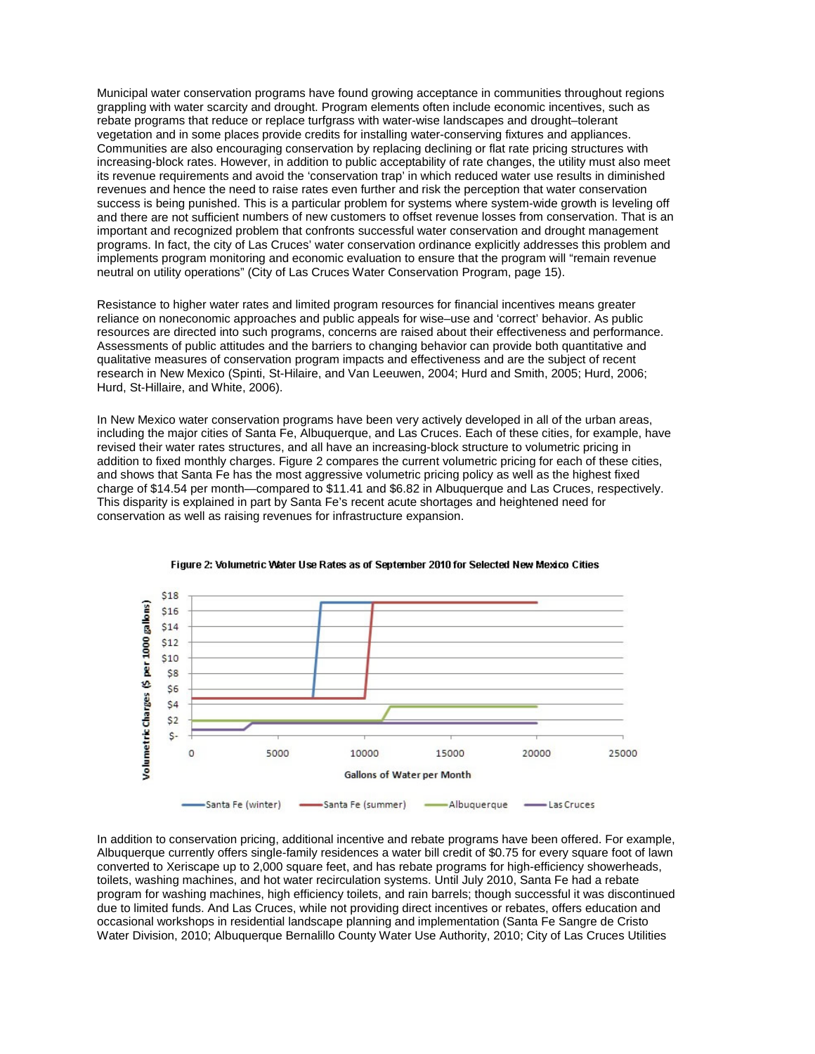Municipal water conservation programs have found growing acceptance in communities throughout regions grappling with water scarcity and drought. Program elements often include economic incentives, such as rebate programs that reduce or replace turfgrass with water-wise landscapes and drought–tolerant vegetation and in some places provide credits for installing water-conserving fixtures and appliances. Communities are also encouraging conservation by replacing declining or flat rate pricing structures with increasing-block rates. However, in addition to public acceptability of rate changes, the utility must also meet its revenue requirements and avoid the 'conservation trap' in which reduced water use results in diminished revenues and hence the need to raise rates even further and risk the perception that water conservation success is being punished. This is a particular problem for systems where system-wide growth is leveling off and there are not sufficient numbers of new customers to offset revenue losses from conservation. That is an important and recognized problem that confronts successful water conservation and drought management programs. In fact, the city of Las Cruces' water conservation ordinance explicitly addresses this problem and implements program monitoring and economic evaluation to ensure that the program will "remain revenue neutral on utility operations" (City of Las Cruces Water Conservation Program, page 15).

Resistance to higher water rates and limited program resources for financial incentives means greater reliance on noneconomic approaches and public appeals for wise–use and 'correct' behavior. As public resources are directed into such programs, concerns are raised about their effectiveness and performance. Assessments of public attitudes and the barriers to changing behavior can provide both quantitative and qualitative measures of conservation program impacts and effectiveness and are the subject of recent research in New Mexico (Spinti, St-Hilaire, and Van Leeuwen, 2004; Hurd and Smith, 2005; Hurd, 2006; Hurd, St-Hillaire, and White, 2006).

In New Mexico water conservation programs have been very actively developed in all of the urban areas, including the major cities of Santa Fe, Albuquerque, and Las Cruces. Each of these cities, for example, have revised their water rates structures, and all have an increasing-block structure to volumetric pricing in addition to fixed monthly charges. Figure 2 compares the current volumetric pricing for each of these cities, and shows that Santa Fe has the most aggressive volumetric pricing policy as well as the highest fixed charge of \$14.54 per month—compared to \$11.41 and \$6.82 in Albuquerque and Las Cruces, respectively. This disparity is explained in part by Santa Fe's recent acute shortages and heightened need for conservation as well as raising revenues for infrastructure expansion.



#### Figure 2: Volumetric Water Use Rates as of September 2010 for Selected New Mexico Cities

In addition to conservation pricing, additional incentive and rebate programs have been offered. For example, Albuquerque currently offers single-family residences a water bill credit of \$0.75 for every square foot of lawn converted to Xeriscape up to 2,000 square feet, and has rebate programs for high-efficiency showerheads, toilets, washing machines, and hot water recirculation systems. Until July 2010, Santa Fe had a rebate program for washing machines, high efficiency toilets, and rain barrels; though successful it was discontinued due to limited funds. And Las Cruces, while not providing direct incentives or rebates, offers education and occasional workshops in residential landscape planning and implementation (Santa Fe Sangre de Cristo Water Division, 2010; Albuquerque Bernalillo County Water Use Authority, 2010; City of Las Cruces Utilities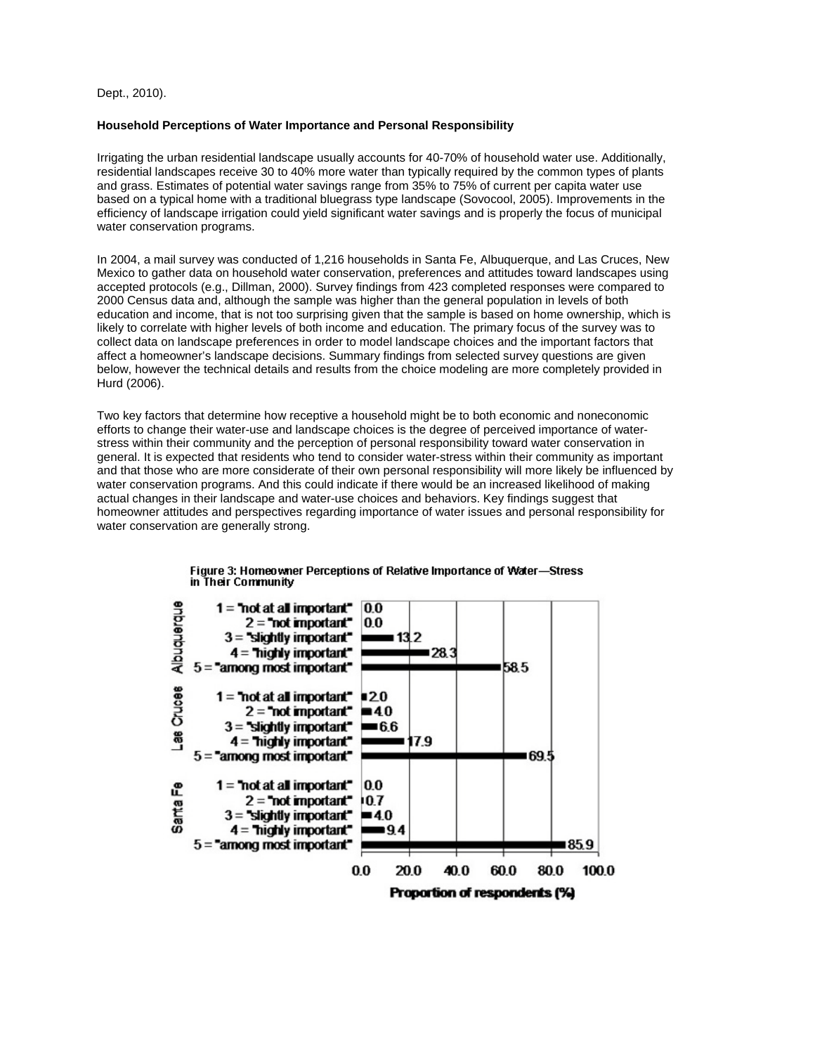Dept., 2010).

## **Household Perceptions of Water Importance and Personal Responsibility**

Irrigating the urban residential landscape usually accounts for 40-70% of household water use. Additionally, residential landscapes receive 30 to 40% more water than typically required by the common types of plants and grass. Estimates of potential water savings range from 35% to 75% of current per capita water use based on a typical home with a traditional bluegrass type landscape (Sovocool, 2005). Improvements in the efficiency of landscape irrigation could yield significant water savings and is properly the focus of municipal water conservation programs.

In 2004, a mail survey was conducted of 1,216 households in Santa Fe, Albuquerque, and Las Cruces, New Mexico to gather data on household water conservation, preferences and attitudes toward landscapes using accepted protocols (e.g., Dillman, 2000). Survey findings from 423 completed responses were compared to 2000 Census data and, although the sample was higher than the general population in levels of both education and income, that is not too surprising given that the sample is based on home ownership, which is likely to correlate with higher levels of both income and education. The primary focus of the survey was to collect data on landscape preferences in order to model landscape choices and the important factors that affect a homeowner's landscape decisions. Summary findings from selected survey questions are given below, however the technical details and results from the choice modeling are more completely provided in Hurd (2006).

Two key factors that determine how receptive a household might be to both economic and noneconomic efforts to change their water-use and landscape choices is the degree of perceived importance of waterstress within their community and the perception of personal responsibility toward water conservation in general. It is expected that residents who tend to consider water-stress within their community as important and that those who are more considerate of their own personal responsibility will more likely be influenced by water conservation programs. And this could indicate if there would be an increased likelihood of making actual changes in their landscape and water-use choices and behaviors. Key findings suggest that homeowner attitudes and perspectives regarding importance of water issues and personal responsibility for water conservation are generally strong.



Figure 3: Homeowner Perceptions of Relative Importance of Water-Stress in Their Community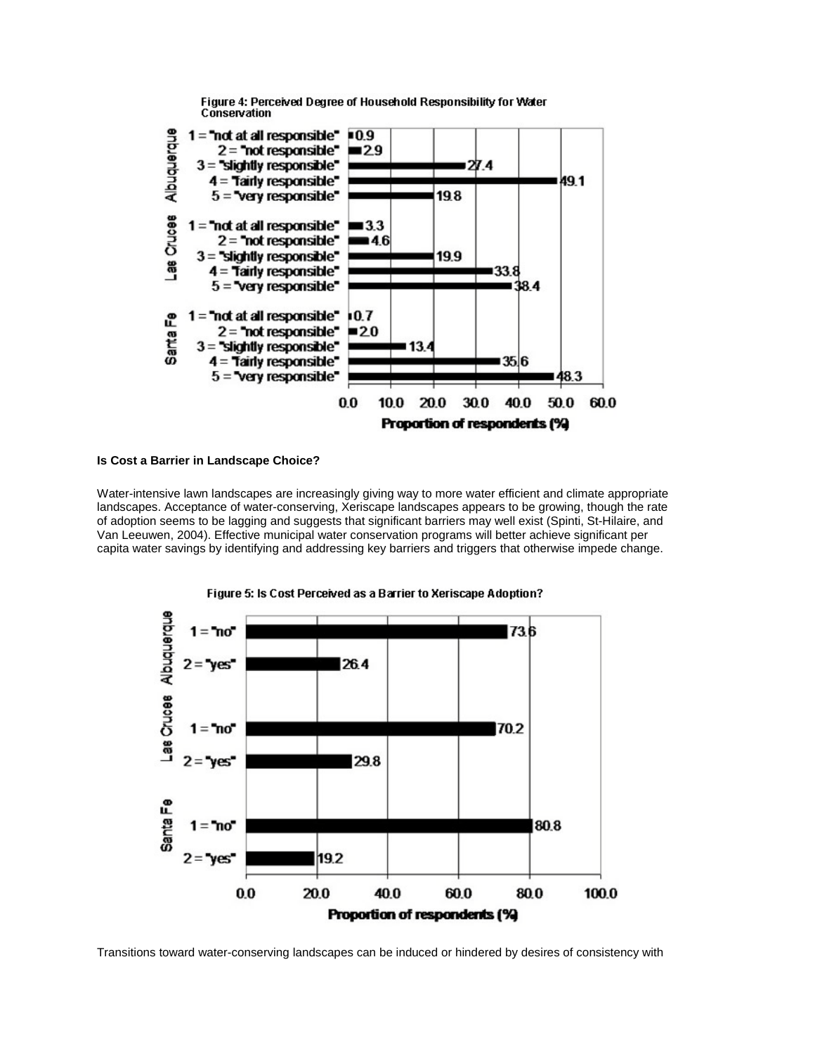

Figure 4: Perceived Degree of Household Responsibility for Water Conservation

## **Is Cost a Barrier in Landscape Choice?**

Water-intensive lawn landscapes are increasingly giving way to more water efficient and climate appropriate landscapes. Acceptance of water-conserving, Xeriscape landscapes appears to be growing, though the rate of adoption seems to be lagging and suggests that significant barriers may well exist (Spinti, St-Hilaire, and Van Leeuwen, 2004). Effective municipal water conservation programs will better achieve significant per capita water savings by identifying and addressing key barriers and triggers that otherwise impede change.



Figure 5: Is Cost Perceived as a Barrier to Xeriscape Adoption?

Transitions toward water-conserving landscapes can be induced or hindered by desires of consistency with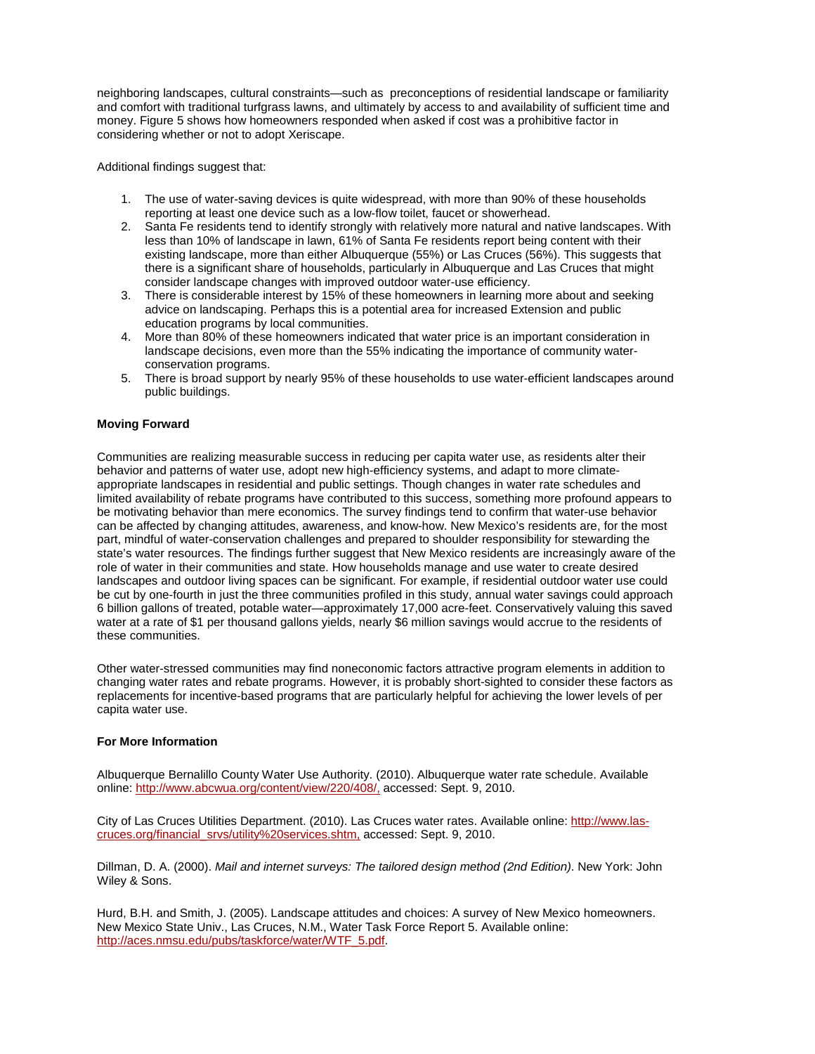neighboring landscapes, cultural constraints—such as preconceptions of residential landscape or familiarity and comfort with traditional turfgrass lawns, and ultimately by access to and availability of sufficient time and money. Figure 5 shows how homeowners responded when asked if cost was a prohibitive factor in considering whether or not to adopt Xeriscape.

Additional findings suggest that:

- 1. The use of water-saving devices is quite widespread, with more than 90% of these households reporting at least one device such as a low-flow toilet, faucet or showerhead.
- 2. Santa Fe residents tend to identify strongly with relatively more natural and native landscapes. With less than 10% of landscape in lawn, 61% of Santa Fe residents report being content with their existing landscape, more than either Albuquerque (55%) or Las Cruces (56%). This suggests that there is a significant share of households, particularly in Albuquerque and Las Cruces that might consider landscape changes with improved outdoor water-use efficiency.
- 3. There is considerable interest by 15% of these homeowners in learning more about and seeking advice on landscaping. Perhaps this is a potential area for increased Extension and public education programs by local communities.
- 4. More than 80% of these homeowners indicated that water price is an important consideration in landscape decisions, even more than the 55% indicating the importance of community waterconservation programs.
- 5. There is broad support by nearly 95% of these households to use water-efficient landscapes around public buildings.

## **Moving Forward**

Communities are realizing measurable success in reducing per capita water use, as residents alter their behavior and patterns of water use, adopt new high-efficiency systems, and adapt to more climateappropriate landscapes in residential and public settings. Though changes in water rate schedules and limited availability of rebate programs have contributed to this success, something more profound appears to be motivating behavior than mere economics. The survey findings tend to confirm that water-use behavior can be affected by changing attitudes, awareness, and know-how. New Mexico's residents are, for the most part, mindful of water-conservation challenges and prepared to shoulder responsibility for stewarding the state's water resources. The findings further suggest that New Mexico residents are increasingly aware of the role of water in their communities and state. How households manage and use water to create desired landscapes and outdoor living spaces can be significant. For example, if residential outdoor water use could be cut by one-fourth in just the three communities profiled in this study, annual water savings could approach 6 billion gallons of treated, potable water—approximately 17,000 acre-feet. Conservatively valuing this saved water at a rate of \$1 per thousand gallons yields, nearly \$6 million savings would accrue to the residents of these communities.

Other water-stressed communities may find noneconomic factors attractive program elements in addition to changing water rates and rebate programs. However, it is probably short-sighted to consider these factors as replacements for incentive-based programs that are particularly helpful for achieving the lower levels of per capita water use.

## **For More Information**

Albuquerque Bernalillo County Water Use Authority. (2010). Albuquerque water rate schedule. Available online:<http://www.abcwua.org/content/view/220/408/,> accessed: Sept. 9, 2010.

City of Las Cruces Utilities Department. (2010). Las Cruces water rates. Available online: [http://www.las](http://www.las-cruces.org/financial_srvs/utility%20services.shtm,)[cruces.org/financial\\_srvs/utility%20services.shtm,](http://www.las-cruces.org/financial_srvs/utility%20services.shtm,) accessed: Sept. 9, 2010.

Dillman, D. A. (2000). *Mail and internet surveys: The tailored design method (2nd Edition)*. New York: John Wiley & Sons.

Hurd, B.H. and Smith, J. (2005). Landscape attitudes and choices: A survey of New Mexico homeowners. New Mexico State Univ., Las Cruces, N.M., Water Task Force Report 5. Available online: [http://aces.nmsu.edu/pubs/taskforce/water/WTF\\_5.pdf.](http://aces.nmsu.edu/pubs/taskforce/water/WTF_5.pdf)